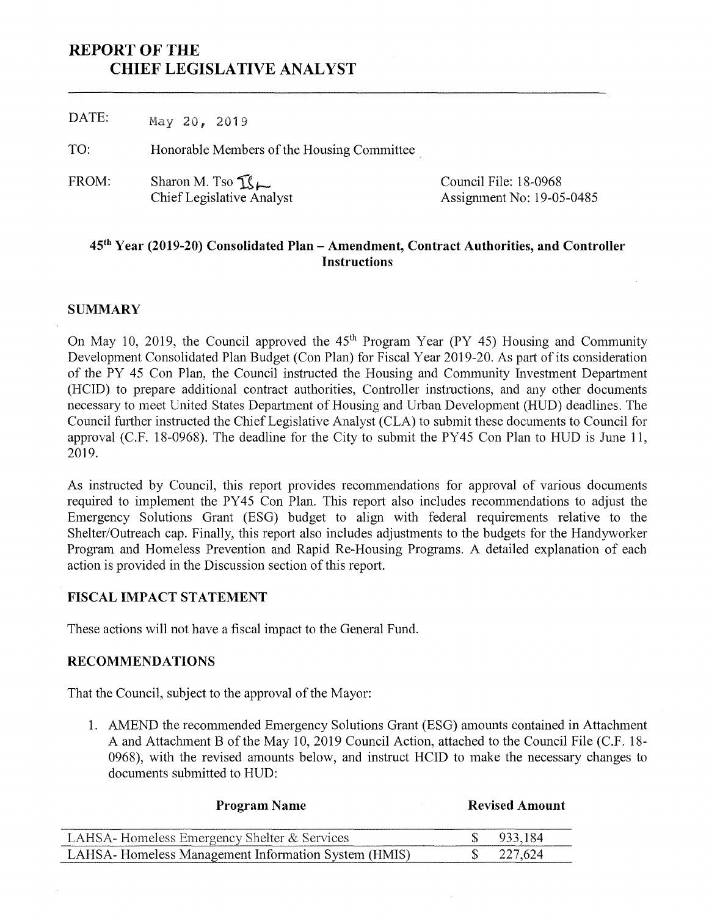# **REPORT OF THE CHIEF LEGISLATIVE ANALYST**

DATE: May 20, 2019 Honorable Members of the Housing Committee Sharon M. Tso FROM: Council File: 18-0968 ChiefLegislative Analyst TO: Assignment No: 19-05-0485

# **45th Year (2019-20) Consolidated Plan - Amendment, Contract Authorities, and Controller Instructions**

# **SUMMARY**

On May 10, 2019, the Council approved the  $45<sup>th</sup>$  Program Year (PY 45) Housing and Community Development Consolidated Plan Budget (Con Plan) for Fiscal Year 2019-20. As part of its consideration of the PY 45 Con Plan, the Council instructed the Housing and Community Investment Department (HCID) to prepare additional contract authorities, Controller instructions, and any other documents necessary to meet United States Department of Housing and Urban Development (HUD) deadlines. The Council further instructed the Chief Legislative Analyst (CLA) to submit these documents to Council for approval (C.F. 18-0968). The deadline for the City to submit the PY45 Con Plan to HUD is June 11, 2019.

As instructed by Council, this report provides recommendations for approval of various documents required to implement the PY45 Con Plan. This report also includes recommendations to adjust the Emergency Solutions Grant (ESG) budget to align with federal requirements relative to the Shelter/Outreach cap. Finally, this report also includes adjustments to the budgets for the Handyworker Program and Homeless Prevention and Rapid Re-Housing Programs. A detailed explanation of each action is provided in the Discussion section of this report.

## **FISCAL IMPACT STATEMENT**

These actions will not have a fiscal impact to the General Fund.

## **RECOMMENDATIONS**

That the Council, subject to the approval of the Mayor:

1. AMEND the recommended Emergency Solutions Grant (ESG) amounts contained in Attachment A and Attachment B of the May 10, 2019 Council Action, attached to the Council File (C.F. 18-0968), with the revised amounts below, and instruct HCID to make the necessary changes to documents submitted to HUD:

| <b>Program Name</b>                                  | <b>Revised Amount</b> |         |  |  |  |
|------------------------------------------------------|-----------------------|---------|--|--|--|
| LAHSA-Homeless Emergency Shelter & Services          |                       | 933.184 |  |  |  |
| LAHSA- Homeless Management Information System (HMIS) |                       | 227,624 |  |  |  |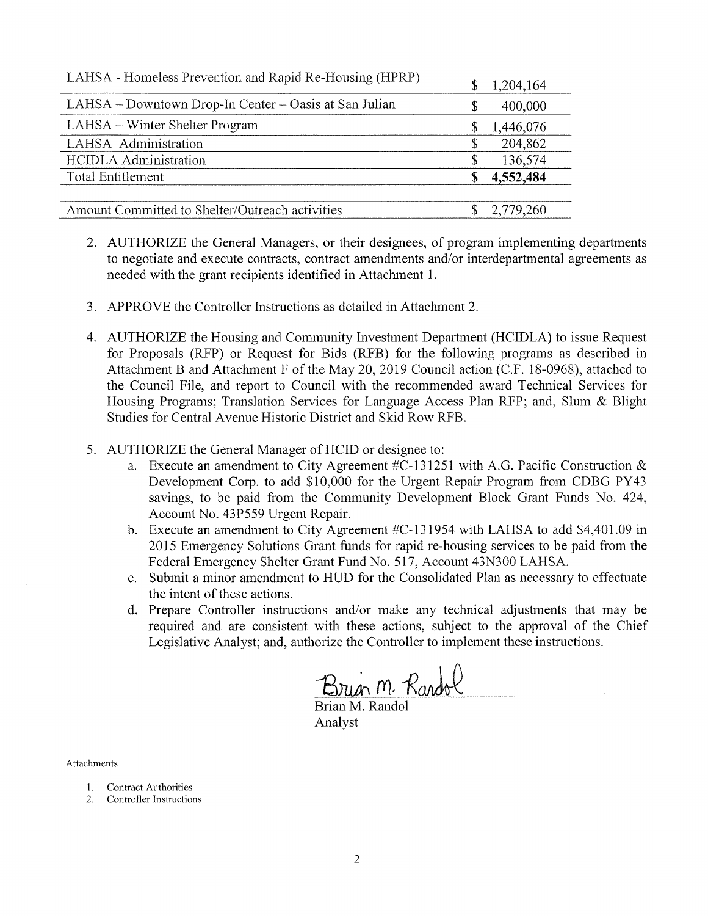| LAHSA - Homeless Prevention and Rapid Re-Housing (HPRP) | \$ | 1,204,164 |
|---------------------------------------------------------|----|-----------|
| LAHSA – Downtown Drop-In Center – Oasis at San Julian   | \$ | 400,000   |
| LAHSA – Winter Shelter Program                          | \$ | 1,446,076 |
| LAHSA Administration                                    | S  | 204,862   |
| <b>HCIDLA</b> Administration                            | \$ | 136,574   |
| Total Entitlement                                       | S  | 4,552,484 |
|                                                         |    |           |
| Amount Committed to Shelter/Outreach activities         |    | 2,779,260 |

- AUTHORIZE the General Managers, or their designees, of program implementing departments 2**.** to negotiate and execute contracts, contract amendments and/or interdepartmental agreements as needed with the grant recipients identified in Attachment 1.
- 3. APPROVE the Controller Instructions as detailed in Attachment 2.
- AUTHORIZE the Housing and Community Investment Department (HCIDLA) to issue Request 4. for Proposals (RFP) or Request for Bids (RFB) for the following programs as described in Attachment B and Attachment F of the May 20, 2019 Council action (C.F. 18-0968), attached to the Council File, and report to Council with the recommended award Technical Services for Housing Programs; Translation Services for Language Access Plan RFP; and, Slum & Blight Studies for Central Avenue Historic District and Skid Row RFB.
- 5. AUTHORIZE the General Manager of HCID or designee to:
	- Execute an amendment to City Agreement #C-131251 with A.G. Pacific Construction & a. Development Corp. to add \$10,000 for the Urgent Repair Program from CDBG PY43 savings, to be paid from the Community Development Block Grant Funds No. 424, Account No. 43P559 Urgent Repair.
	- b. Execute an amendment to City Agreement #C-131954 with LAHSA to add \$4,401.09 in 2015 Emergency Solutions Grant funds for rapid re-housing services to be paid from the Federal Emergency Shelter Grant Fund No. 517, Account 43N300 LAHSA.
	- c. Submit a minor amendment to HUD for the Consolidated Plan as necessary to effectuate the intent of these actions.
	- d. Prepare Controller instructions and/or make any technical adjustments that may be required and are consistent with these actions, subject to the approval of the Chief Legislative Analyst; and, authorize the Controller to implement these instructions.

Brugh M. Randol

Brian M. Randol Analyst

Attachments

- Contract Authorities 1**.**
- Controller Instructions 2**.**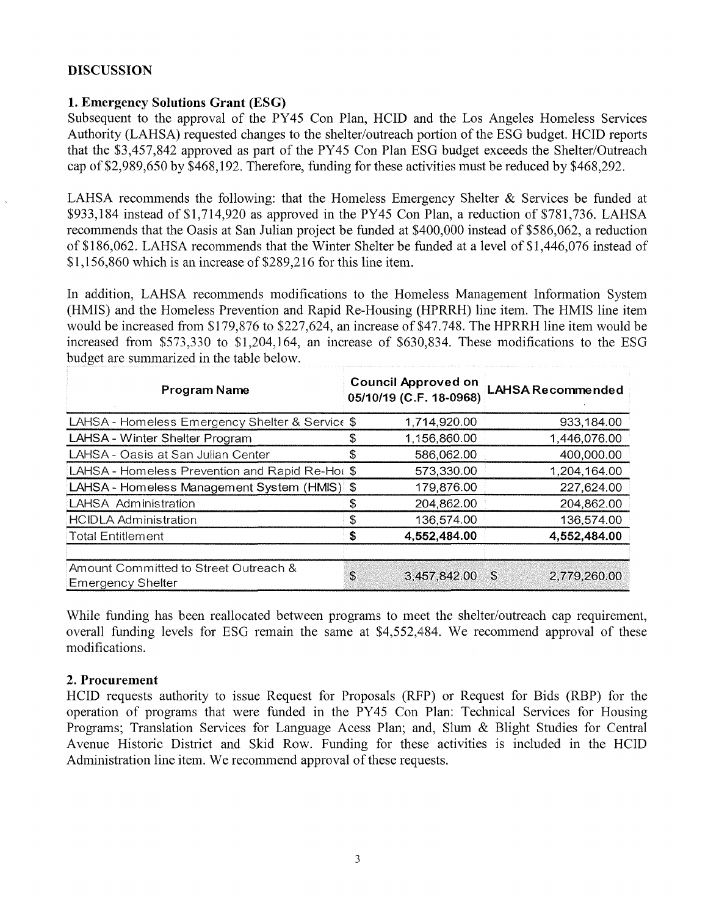# **DISCUSSION**

# **1. Emergency Solutions Grant (ESG)**

Subsequent to the approval of the PY45 Con Plan, HCID and the Los Angeles Homeless Services Authority (LAHSA) requested changes to the shelter/outreach portion of the ESG budget. HCID reports that the \$3,457,842 approved as part of the PY45 Con Plan ESG budget exceeds the Shelter/Outreach cap of \$2,989,650 by \$468,192. Therefore, funding for these activities must be reduced by \$468,292.

LAHSA recommends the following: that the Homeless Emergency Shelter & Services be funded at \$933,184 instead of \$1,714,920 as approved in the PY45 Con Plan, a reduction of \$781,736. LAHSA recommends that the Oasis at San Julian project be funded at \$400,000 instead of \$586,062, a reduction of \$186,062. LAHSA recommends that the Winter Shelter be funded at a level of \$1,446,076 instead of \$1,156,860 which is an increase of \$289,216 for this line item.

In addition, LAHSA recommends modifications to the Homeless Management Information System (HMIS) and the Homeless Prevention and Rapid Re-Housing (HPRRH) line item. The HMIS line item would be increased from \$179,876 to \$227,624, an increase of \$47,748. The HPRRH line item would be increased from \$573,330 to \$1,204,164, an increase of \$630,834. These modifications to the ESG budget are summarized in the table below.

| <b>Program Name</b>                                               | <b>Council Approved on</b><br>05/10/19 (C.F. 18-0968) | <b>LAHSA Recommended</b> |
|-------------------------------------------------------------------|-------------------------------------------------------|--------------------------|
| LAHSA - Homeless Emergency Shelter & Service \$                   | 1,714,920.00                                          | 933,184.00               |
| LAHSA - Winter Shelter Program                                    | 1,156,860.00                                          | 1,446,076.00             |
| LAHSA - Oasis at San Julian Center                                | \$<br>586,062.00                                      | 400,000.00               |
| LAHSA - Homeless Prevention and Rapid Re-Hot \$                   | 573,330.00                                            | 1,204,164.00             |
| LAHSA - Homeless Management System (HMIS) \$                      | 179,876.00                                            | 227,624.00               |
| <b>LAHSA Administration</b>                                       | 204,862.00                                            | 204,862.00               |
| <b>HCIDLA Administration</b>                                      | \$<br>136,574.00                                      | 136,574.00               |
| <b>Total Entitlement</b>                                          | \$<br>4,552,484.00                                    | 4,552,484.00             |
| Amount Committed to Street Outreach &<br><b>Emergency Shelter</b> | \$<br>3,457,842.00 \$                                 | 2,779,260.00             |

While funding has been reallocated between programs to meet the shelter/outreach cap requirement, overall funding levels for ESG remain the same at \$4,552,484. We recommend approval of these modifications.

# **2. Procurement**

HCID requests authority to issue Request for Proposals (RFP) or Request for Bids (RBP) for the operation of programs that were funded in the PY45 Con Plan: Technical Services for Housing Programs; Translation Services for Language Acess Plan; and, Slum & Blight Studies for Central Avenue Historic District and Skid Row. Funding for these activities is included in the HCID Administration line item. We recommend approval of these requests.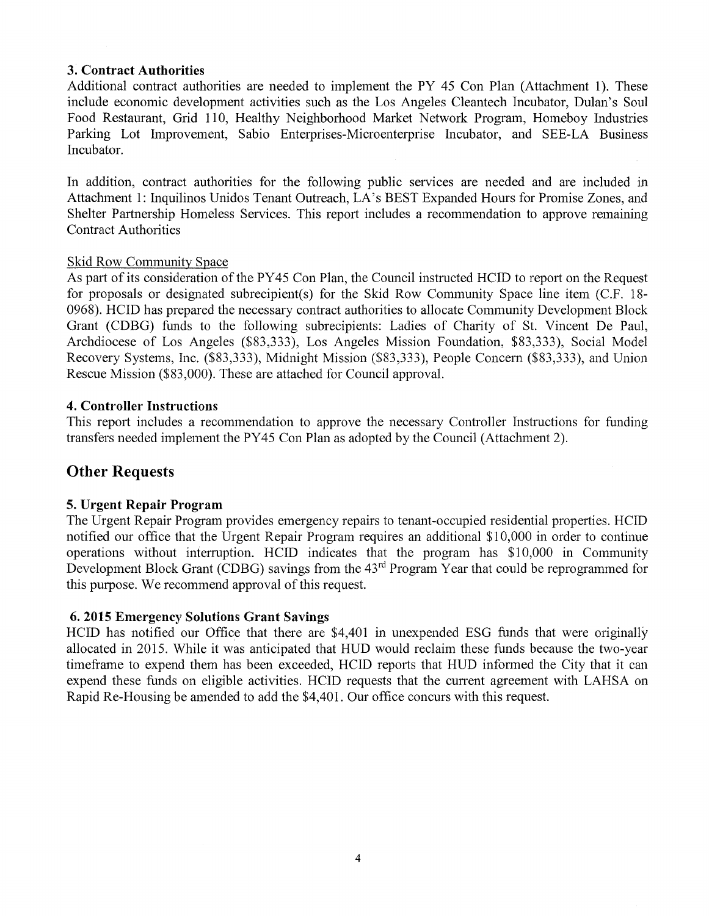## **3. Contract Authorities**

Additional contract authorities are needed to implement the PY 45 Con Plan (Attachment 1). These include economic development activities such as the Los Angeles Cleantech Incubator, Dulan's Soul Food Restaurant, Grid 110, Healthy Neighborhood Market Network Program, Homeboy Industries Parking Lot Improvement, Sabio Enterprises-Microenterprise Incubator, and SEE-LA Business Incubator.

In addition, contract authorities for the following public services are needed and are included in Attachment 1: Inquilinos Unidos Tenant Outreach, LA's BEST Expanded Hours for Promise Zones, and Shelter Partnership Homeless Services. This report includes a recommendation to approve remaining Contract Authorities

## Skid Row Community Space

As part of its consideration of the PY45 Con Plan, the Council instructed HCID to report on the Request for proposals or designated subrecipient(s) for the Skid Row Community Space line item (C.F. 18 0968). HCID has prepared the necessary contract authorities to allocate Community Development Block Grant (CDBG) funds to the following subrecipients: Ladies of Charity of St. Vincent De Paul, Archdiocese of Los Angeles (\$83,333), Los Angeles Mission Foundation, \$83,333), Social Model Recovery Systems, Inc. (\$83,333), Midnight Mission (\$83,333), People Concern (\$83,333), and Union Rescue Mission (\$83,000). These are attached for Council approval.

## **4. Controller Instructions**

This report includes a recommendation to approve the necessary Controller Instructions for funding transfers needed implement the PY45 Con Plan as adopted by the Council (Attachment 2).

# **Other Requests**

## **5. Urgent Repair Program**

The Urgent Repair Program provides emergency repairs to tenant-occupied residential properties. HCID notified our office that the Urgent Repair Program requires an additional \$10,000 in order to continue operations without interruption. HCID indicates that the program has \$10,000 in Community Development Block Grant (CDBG) savings from the 43<sup>rd</sup> Program Year that could be reprogrammed for this purpose. We recommend approval of this request.

## **6. 2015 Emergency Solutions Grant Savings**

HCID has notified our Office that there are \$4,401 in unexpended ESG funds that were originally allocated in 2015. While it was anticipated that HUD would reclaim these funds because the two-year timeframe to expend them has been exceeded, HCID reports that HUD informed the City that it can expend these funds on eligible activities. HCID requests that the current agreement with LAHSA on Rapid Re-Housing be amended to add the \$4,401. Our office concurs with this request.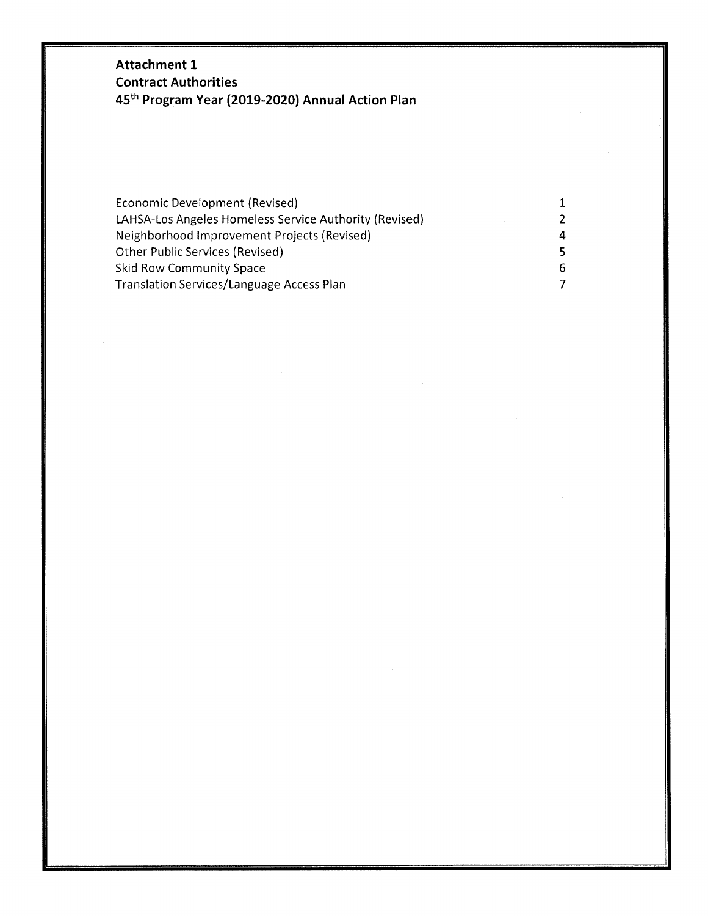# **Attachment 1 Contract Authorities 45th Program Year (2019-2020) Annual Action Plan**

| Economic Development (Revised)                         |    |
|--------------------------------------------------------|----|
| LAHSA-Los Angeles Homeless Service Authority (Revised) | 2. |
| Neighborhood Improvement Projects (Revised)            | 4  |
| <b>Other Public Services (Revised)</b>                 | 5. |
| <b>Skid Row Community Space</b>                        | 6. |
| Translation Services/Language Access Plan              |    |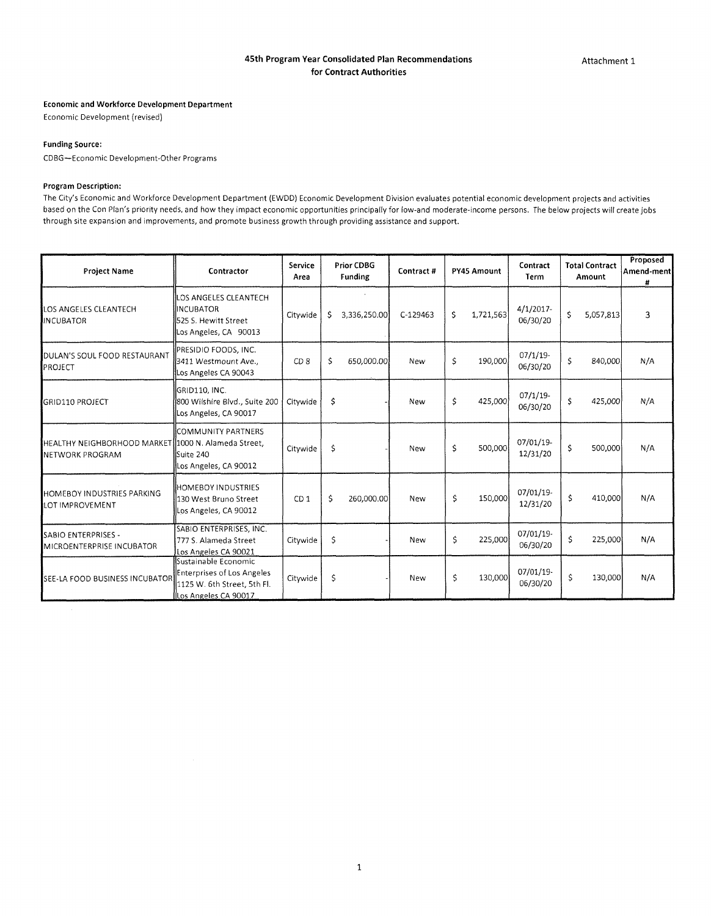#### **45th Program Year Consolidated Plan Recommendations for Contract Authorities**

#### **Economic and Workforce Development Department**

Economic Development (revised)

#### **Funding Source:**

CDBG—Economic Development-Other Programs

#### **Program Description:**

The City's Economic and Workforce Development Department (EWDD) Economic Development Division evaluates potential economic development projects and activities based on the Con Plan's priority needs, and how they impact economic opportunities principally for low-and moderate-income persons. The below projects will create jobs through site expansion and improvements, and promote business growth through providing assistance and support.

| <b>Project Name</b>                                                           | Contractor                                                                                                | Service<br>Area | <b>Prior CDBG</b><br>Funding | Contract#  | PY45 Amount     | Contract<br>Term         | <b>Total Contract</b><br>Amount | Proposed<br>Amend-ment<br># |
|-------------------------------------------------------------------------------|-----------------------------------------------------------------------------------------------------------|-----------------|------------------------------|------------|-----------------|--------------------------|---------------------------------|-----------------------------|
| LOS ANGELES CLEANTECH<br><b>INCUBATOR</b>                                     | LOS ANGELES CLEANTECH<br><b>INCUBATOR</b><br>525 S. Hewitt Street<br>Los Angeles, CA 90013                | Citywide        | \$.<br>3,336,250.00          | C-129463   | Ŝ.<br>1,721,563 | $4/1/2017$ -<br>06/30/20 | \$<br>5,057,813                 | 3                           |
| DULAN'S SOUL FOOD RESTAURANT<br>PROJECT                                       | PRESIDIO FOODS, INC.<br>3411 Westmount Ave.,<br>Los Angeles CA 90043                                      | CD <sub>8</sub> | \$<br>650,000.00             | New        | \$<br>190,000   | $07/1/19$ -<br>06/30/20  | \$<br>840,000                   | N/A                         |
| <b>GRID110 PROJECT</b>                                                        | GRID110, INC.<br>800 Wilshire Blvd., Suite 200<br>Los Angeles, CA 90017                                   | Citywide        | \$                           | New        | \$<br>425,000   | $07/1/19$ -<br>06/30/20  | \$<br>425,000                   | N/A                         |
| HEALTHY NEIGHBORHOOD MARKET 1000 N. Alameda Street,<br><b>NETWORK PROGRAM</b> | COMMUNITY PARTNERS<br>Suite 240<br>Los Angeles, CA 90012                                                  | Citywide        | Ś.                           | <b>New</b> | Ś.<br>500,000   | 07/01/19-<br>12/31/20    | \$<br>500,000                   | N/A                         |
| <b>HOMEBOY INDUSTRIES PARKING</b><br>LOT IMPROVEMENT                          | <b>HOMEBOY INDUSTRIES</b><br>130 West Bruno Street<br>Los Angeles, CA 90012                               | CD <sub>1</sub> | Ś<br>260,000.00              | New        | 150,000<br>Ś.   | 07/01/19-<br>12/31/20    | \$<br>410,000                   | N/A                         |
| SABIO ENTERPRISES -<br>MICROENTERPRISE INCUBATOR                              | SABIO ENTERPRISES, INC.<br>777 S. Alameda Street<br>Los Angeles CA 90021                                  | Citywide        | \$                           | New        | \$<br>225,000   | 07/01/19-<br>06/30/20    | \$<br>225,000                   | N/A                         |
| SEE-LA FOOD BUSINESS INCUBATOR                                                | Sustainable Economic<br>Enterprises of Los Angeles<br>1125 W. 6th Street, 5th Fl.<br>Los Angeles CA 90017 | Citywide        | \$.                          | New        | \$<br>130,000   | 07/01/19-<br>06/30/20    | \$<br>130,000                   | N/A                         |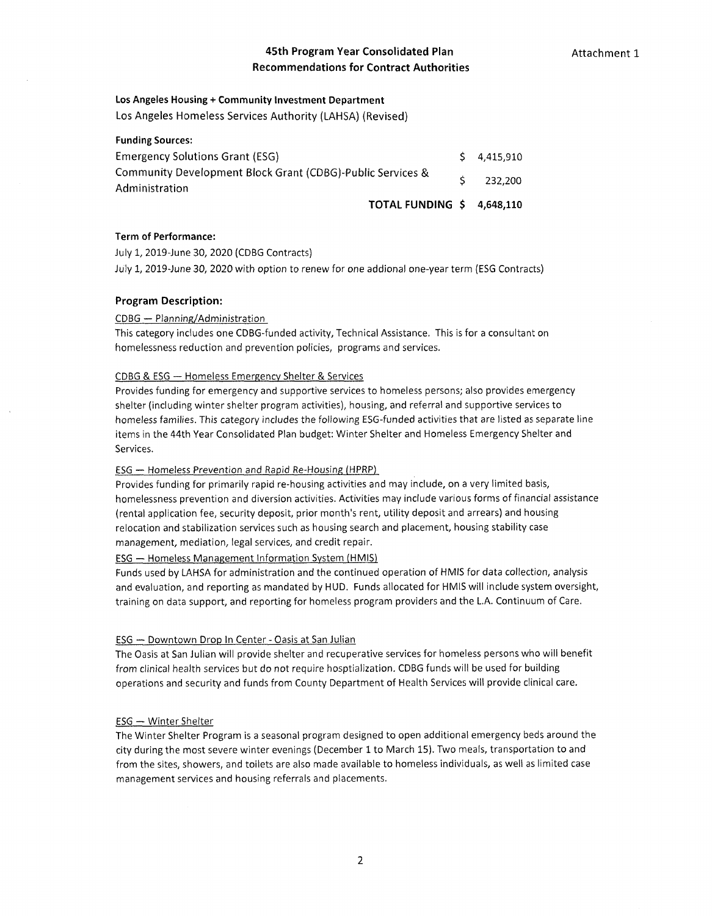## **45th Program Year Consolidated Plan Recommendations for Contract Authorities**

#### **Los Angeles Housing + Community Investment Department**

**Los Angeles Homeless Services Authority (LAHSA) (Revised)**

| <b>Funding Sources:</b>                                                      |                    |
|------------------------------------------------------------------------------|--------------------|
| <b>Emergency Solutions Grant (ESG)</b>                                       | $5\quad 4.415.910$ |
| Community Development Block Grant (CDBG)-Public Services &<br>Administration | 232,200            |
| TOTAL FUNDING \$ 4,648,110                                                   |                    |

#### Term of Performance:

July 1, 2019-June 30, 2020 (CDBG Contracts)

July 1, 2019-June 30, 2020 with option to renew for one addional one-year term (ESG Contracts)

#### **Program Description:**

#### CDBG — Planning/Administration

This category includes one CDBG-funded activity, Technical Assistance. This is for <sup>a</sup> consultant on homelessness reduction and prevention policies, programs and services.

#### <u> CDBG & ESG — Homeless Emergency Shelter & Services</u>

Provides funding for emergency and supportive services to homeless persons; also provides emergency shelter (including winter shelter program activities), housing, and referral and supportive services to homeless families. This category includes the following ESG-funded activities that are listed as separate line items in the 44th Year Consolidated Plan budget: Winter Shelter and Homeless Emergency Shelter and Services.

#### ESG — Homeless Prevention and Rapid Re-Housing (HPRP)

Provides funding for primarily rapid re-housing activities and may include, on <sup>a</sup> very limited basis, homelessness prevention and diversion activities. Activities may include various forms of financial assistance (rental application fee, security deposit, prior month's rent, utility deposit and arrears) and housing relocation and stabilization services such as housing search and placement, housing stability case management, mediation, legal services, and credit repair.

#### ESG — Homeless Management Information System (HMIS)

Funds used by LAHSA for administration and the continued operation of HMIS for data collection, analysis and evaluation, and reporting as mandated by HUD. Funds allocated for HMIS will include system oversight, training on data support, and reporting for homeless program providers and the L.A. Continuum of Care.

#### <u>ESG — Downtown Drop In Center - Oasis at San Julian</u>

The Oasis at San Julian will provide shelter and recuperative services for homeless persons who will benefit from clinical health services but do not require hosptialization. CDBG funds will be used for building operations and security and funds from County Department of Health Services will provide clinical care.

#### ESG — Winter Shelter

The Winter Shelter Program is <sup>a</sup> seasonal program designed to open additional emergency beds around the city during the most severe winter evenings (December 1 to March 15). Two meals, transportation to and from the sites, showers, and toilets are also made available to homeless individuals, as well as limited case management services and housing referrals and placements.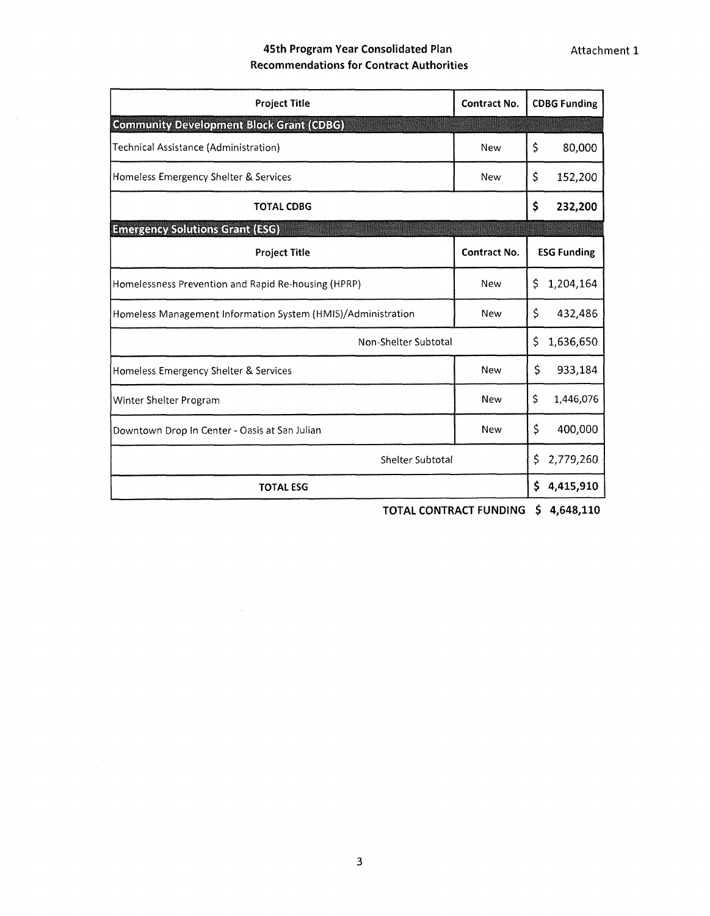# **45th Program Year Consolidated Plan Recommendations for Contract Authorities**

| <b>Project Title</b>                                         | <b>Contract No.</b> | <b>CDBG Funding</b> |  |  |  |  |
|--------------------------------------------------------------|---------------------|---------------------|--|--|--|--|
| <b>Community Development Block Grant (CDBG)</b>              |                     |                     |  |  |  |  |
| Technical Assistance (Administration)                        | <b>New</b>          | \$<br>80,000        |  |  |  |  |
| Homeless Emergency Shelter & Services                        | <b>New</b>          | \$<br>152,200       |  |  |  |  |
| <b>TOTAL CDBG</b>                                            |                     | \$<br>232,200       |  |  |  |  |
| <b>Emergency Solutions Grant (ESG)</b>                       |                     |                     |  |  |  |  |
| <b>Project Title</b>                                         | <b>Contract No.</b> | <b>ESG Funding</b>  |  |  |  |  |
| Homelessness Prevention and Rapid Re-housing (HPRP)          | New                 | 1,204,164<br>Ŝ.     |  |  |  |  |
| Homeless Management Information System (HMIS)/Administration | <b>New</b>          | \$<br>432,486       |  |  |  |  |
| Non-Shelter Subtotal                                         |                     | \$<br>1,636,650     |  |  |  |  |
| Homeless Emergency Shelter & Services                        | <b>New</b>          | \$<br>933,184       |  |  |  |  |
| Winter Shelter Program                                       | <b>New</b>          | \$<br>1,446,076     |  |  |  |  |
| Downtown Drop In Center - Oasis at San Julian                | <b>New</b>          | \$<br>400,000       |  |  |  |  |
| Shelter Subtotal                                             |                     |                     |  |  |  |  |
| <b>TOTAL ESG</b>                                             |                     | \$<br>4,415,910     |  |  |  |  |

**TOTAL CONTRACT FUNDING \$ 4,648,110**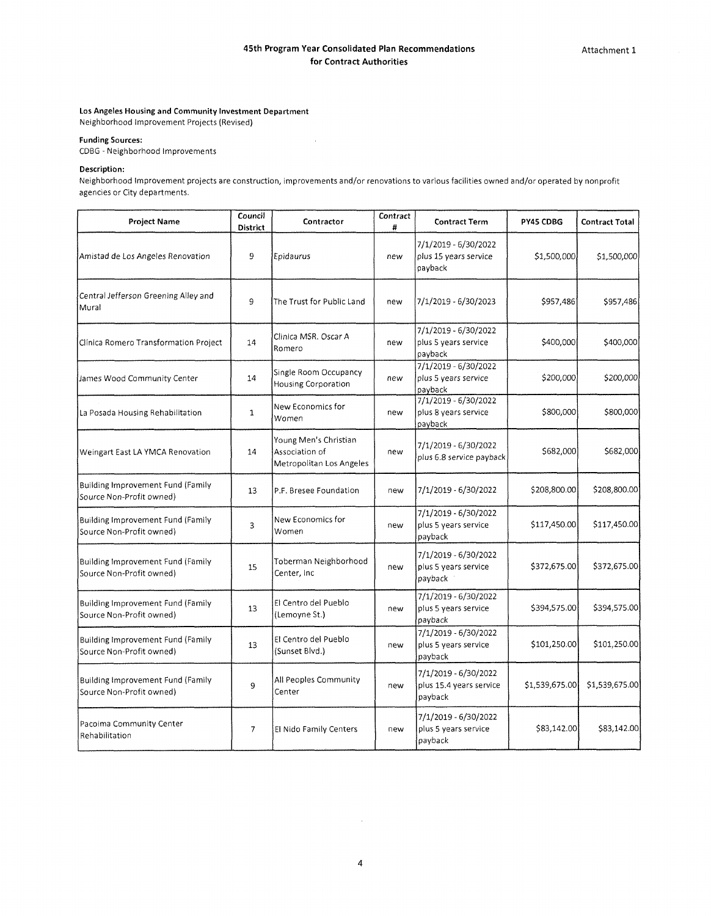#### **Los Angeles Housing and Community Investment Department** Neighborhood Improvement Projects (Revised)

**Funding Sources:**

CDBG - Neighborhood Improvements

#### **Description:**

Neighborhood Improvement projects are construction, improvements and/or renovations to various facilities owned and/or operated by nonprofit agencies or City departments.

 $\sim$ 

| Council<br><b>Project Name</b><br>District                           |                                                   | Contractor                                                          | Contract<br>$\pmb{\ast}$                                | <b>Contract Term</b>                                       | PY45 CDBG      | <b>Contract Total</b> |
|----------------------------------------------------------------------|---------------------------------------------------|---------------------------------------------------------------------|---------------------------------------------------------|------------------------------------------------------------|----------------|-----------------------|
| Amistad de Los Angeles Renovation                                    | 9                                                 | Epidaurus                                                           | new                                                     | 7/1/2019 - 6/30/2022<br>plus 15 years service<br>payback   | \$1,500,000    | \$1,500,000           |
| Central Jefferson Greening Alley and<br>Mural                        | 9                                                 | The Trust for Public Land                                           | new                                                     | 7/1/2019 - 6/30/2023                                       | \$957,486      | \$957,486             |
| Clínica Romero Transformation Project                                | 14                                                | Clinica MSR, Oscar A<br>Romero                                      | new                                                     | 7/1/2019 - 6/30/2022<br>plus 5 years service<br>payback    | \$400,000      | \$400,000             |
| James Wood Community Center                                          | 14                                                | Single Room Occupancy<br><b>Housing Corporation</b>                 | new                                                     | 7/1/2019 - 6/30/2022<br>plus 5 years service<br>payback    | \$200,000      | \$200,000             |
| La Posada Housing Rehabilitation                                     | New Economics for<br>$\mathbf{1}$<br>new<br>Women |                                                                     | 7/1/2019 - 6/30/2022<br>plus 8 years service<br>payback | \$800,000                                                  | \$800,000      |                       |
| Weingart East LA YMCA Renovation                                     | 14                                                | Young Men's Christian<br>Association of<br>Metropolitan Los Angeles | new                                                     | 7/1/2019 - 6/30/2022<br>plus 6.8 service payback           | \$682,000      | \$682,000             |
| Building Improvement Fund (Family<br>Source Non-Profit owned)        | 13                                                | P.F. Bresee Foundation                                              | new                                                     | 7/1/2019 - 6/30/2022                                       | \$208,800.00   | \$208,800.00          |
| <b>Building Improvement Fund (Family</b><br>Source Non-Profit owned) | 3                                                 | New Economics for<br>Women                                          | new                                                     | 7/1/2019 - 6/30/2022<br>plus 5 years service<br>payback    | \$117,450.00   | \$117,450.00          |
| Building Improvement Fund (Family<br>15<br>Source Non-Profit owned)  |                                                   | Toberman Neighborhood<br>Center, Inc                                | new                                                     | 7/1/2019 - 6/30/2022<br>plus 5 years service<br>payback    | \$372,675.00   | \$372,675.00          |
| Building Improvement Fund (Family<br>Source Non-Profit owned)        | 13                                                | El Centro del Pueblo<br>(Lemoyne St.)                               | new                                                     | 7/1/2019 - 6/30/2022<br>plus 5 years service<br>payback    | \$394,575.00   | \$394,575.00          |
| Building Improvement Fund (Family<br>Source Non-Profit owned)        | 13                                                | El Centro del Pueblo<br>(Sunset Blvd.)                              | new                                                     | 7/1/2019 - 6/30/2022<br>plus 5 years service<br>payback    | \$101,250.00   | \$101,250.00          |
| Building Improvement Fund (Family<br>Source Non-Profit owned)        | 9                                                 | All Peoples Community<br>Center                                     | new                                                     | 7/1/2019 - 6/30/2022<br>plus 15.4 years service<br>payback | \$1,539,675.00 | \$1,539,675.00        |
| Pacoima Community Center<br>Rehabilitation                           | 7                                                 | El Nido Family Centers                                              | new                                                     | 7/1/2019 - 6/30/2022<br>plus 5 years service<br>payback    | \$83,142.00    | \$83,142.00           |

 $\sim$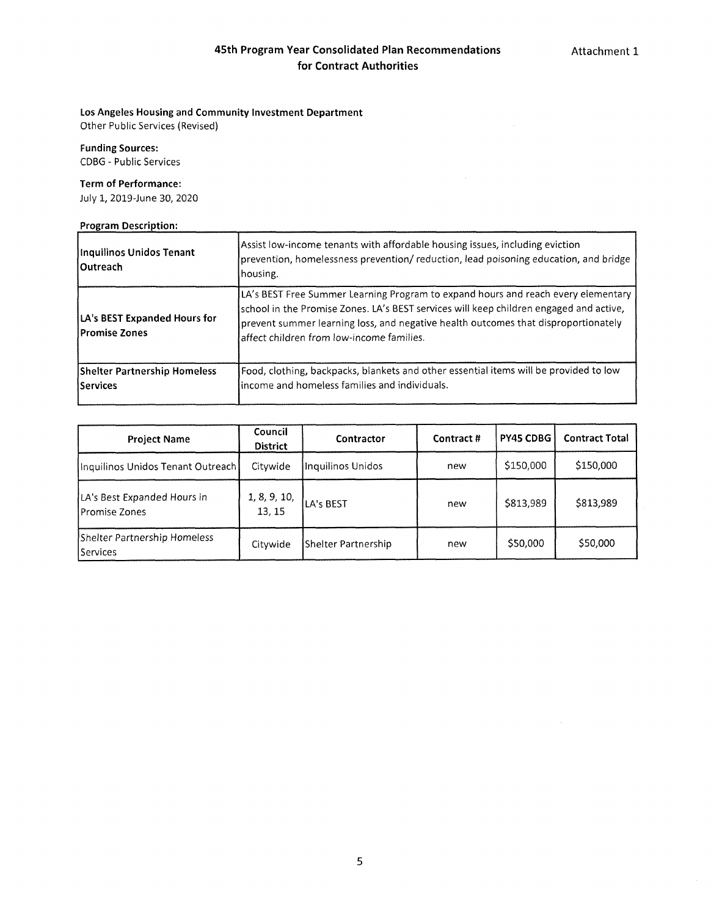## **Los Angeles Housing and Community Investment Department**

Other Public Services (Revised)

**Funding Sources:** CDBG - Public Services

#### **Term of Performance:**

July 1, 2019-June 30, 2020

## **Program Description:**

| Inquilinos Unidos Tenant<br>l Outreach                 | Assist low-income tenants with affordable housing issues, including eviction<br>prevention, homelessness prevention/ reduction, lead poisoning education, and bridge<br>housing.                                                                                                                               |
|--------------------------------------------------------|----------------------------------------------------------------------------------------------------------------------------------------------------------------------------------------------------------------------------------------------------------------------------------------------------------------|
| LA's BEST Expanded Hours for<br>lPromise Zones         | LA's BEST Free Summer Learning Program to expand hours and reach every elementary<br>school in the Promise Zones. LA's BEST services will keep children engaged and active,<br>prevent summer learning loss, and negative health outcomes that disproportionately<br>affect children from low-income families. |
| <b>Shelter Partnership Homeless</b><br><b>Services</b> | Food, clothing, backpacks, blankets and other essential items will be provided to low<br>income and homeless families and individuals.                                                                                                                                                                         |

| <b>Project Name</b>                                  | Council<br><b>District</b> | Contractor          | Contract # | PY45 CDBG | <b>Contract Total</b> |
|------------------------------------------------------|----------------------------|---------------------|------------|-----------|-----------------------|
| Inquilinos Unidos Tenant Outreach                    | Citywide                   | Inquilinos Unidos   | new        | \$150,000 | \$150,000             |
| LA's Best Expanded Hours in<br><b>IPromise Zones</b> | 1, 8, 9, 10,<br>13, 15     | LA's BEST           | new        | \$813,989 | \$813.989             |
| Shelter Partnership Homeless<br>l Services           | Citywide                   | Shelter Partnership | new        | \$50,000  | \$50,000              |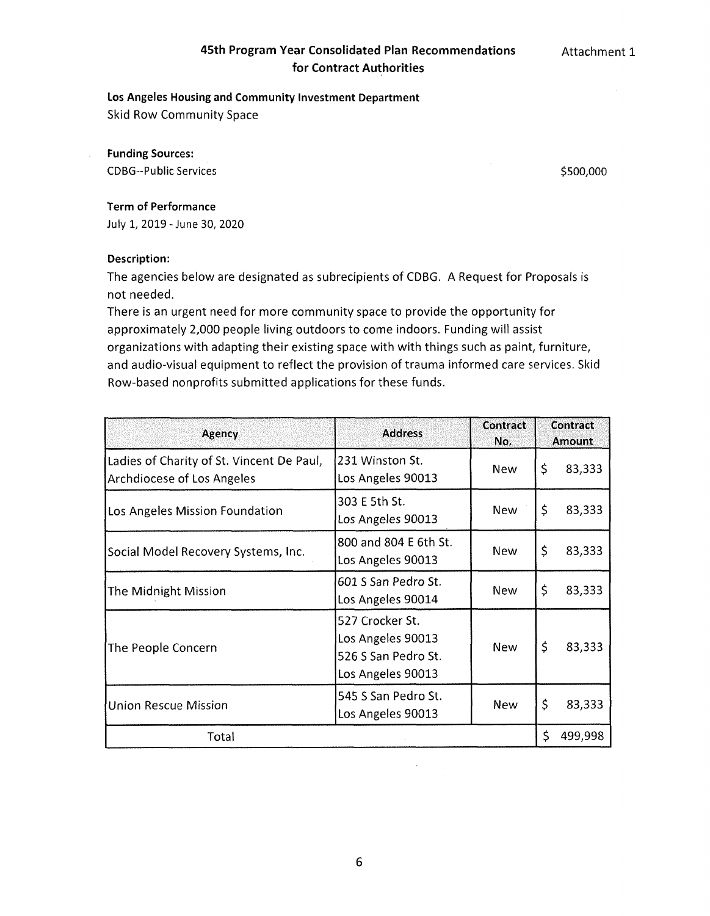# **45th Program Year Consolidated Plan Recommendations for Contract Authorities**

**Attachment 1**

## Los Angeles Housing and Community Investment Department

Skid Row Community Space

**Funding Sources:** CDBG-Public Services \$500,000

# **Term of Performance**

July 1, 2019-June 30, 2020

## **Description:**

The agencies below are designated as subrecipients of CDBG. A Request for Proposals is not needed.

There is an urgent need for more community space to provide the opportunity for approximately 2,000 people living outdoors to come indoors. Funding will assist organizations with adapting their existing space with with things such as paint, furniture, and audio-visual equipment to reflect the provision of trauma informed care services. Skid Row-based nonprofits submitted applications for these funds.

| <b>Agency</b>                                                           | <b>Address</b>                                                                   | Contract<br>No. |    | Contract<br><b>Amount</b> |  |
|-------------------------------------------------------------------------|----------------------------------------------------------------------------------|-----------------|----|---------------------------|--|
| Ladies of Charity of St. Vincent De Paul,<br>Archdiocese of Los Angeles | 231 Winston St.<br>Los Angeles 90013                                             | <b>New</b>      | \$ | 83,333                    |  |
| Los Angeles Mission Foundation                                          | 303 E 5th St.<br>Los Angeles 90013                                               | <b>New</b>      | \$ | 83,333                    |  |
| Social Model Recovery Systems, Inc.                                     | 800 and 804 E 6th St.<br>Los Angeles 90013                                       | <b>New</b>      | \$ | 83,333                    |  |
| The Midnight Mission                                                    | 601 S San Pedro St.<br>Los Angeles 90014                                         | <b>New</b>      | \$ | 83,333                    |  |
| The People Concern                                                      | 527 Crocker St.<br>Los Angeles 90013<br>526 S San Pedro St.<br>Los Angeles 90013 | <b>New</b>      | \$ | 83,333                    |  |
| <b>Union Rescue Mission</b>                                             | 545 S San Pedro St.<br>Los Angeles 90013                                         | <b>New</b>      | \$ | 83,333                    |  |
| Total                                                                   |                                                                                  |                 | Ś. | 499,998                   |  |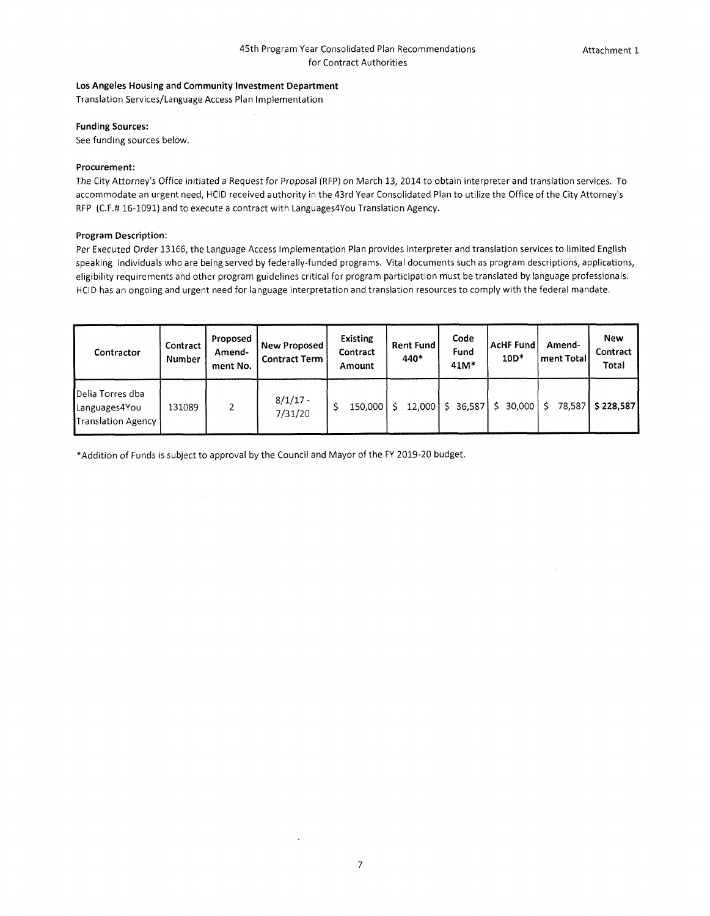#### **Los Angeles Housing and Community Investment Department**

Translation Services/Language Access Plan Implementation

#### **Funding Sources:**

See funding sources below.

#### **Procurement:**

The City Attorney's Office initiated a Request for Proposal (RFP) on March 13, 2014 to obtain interpreter and translation services. To accommodate an urgent need, HCID received authority in the 43rd Year Consolidated Plan to utilize the Office of the City Attorney's RFP (C.F.# 16-1091) and to execute <sup>a</sup> contract with Languages4You Translation Agency.

#### **Program Description:**

Per Executed Order 13166, the Language Access Implementation Plan provides interpreter and translation services to limited English speaking individuals who are being served by federally-funded programs. Vital documents such as program descriptions, applications, eligibility requirements and other program guidelines critical for program participation must be translated by language professionals. HCID has an ongoing and urgent need for language interpretation and translation resources to comply with the federal mandate.

| Contractor                                                     | Contract<br>Number | Proposed<br>Amend-<br>ment No. | New Proposed<br><b>Contract Term</b> | Existing<br>Contract<br>Amount | <b>Rent Fund</b><br>440* | Code<br>Fund<br>41M* | <b>AcHF Fund</b><br>$10D*$ | Amend-<br>ment Total | New<br>Contract<br>Total |
|----------------------------------------------------------------|--------------------|--------------------------------|--------------------------------------|--------------------------------|--------------------------|----------------------|----------------------------|----------------------|--------------------------|
| Delia Torres dba<br>Languages4You<br><b>Translation Agency</b> | 131089             | 2                              | $8/1/17 -$<br>7/31/20                | 150.000                        | 12.000                   | \$ 36,587            | 30.000                     | Ŝ.                   | 78.587 \$228.587         |

'Addition of Funds is subject to approval by the Council and Mayor of the FY 2019-20 budget.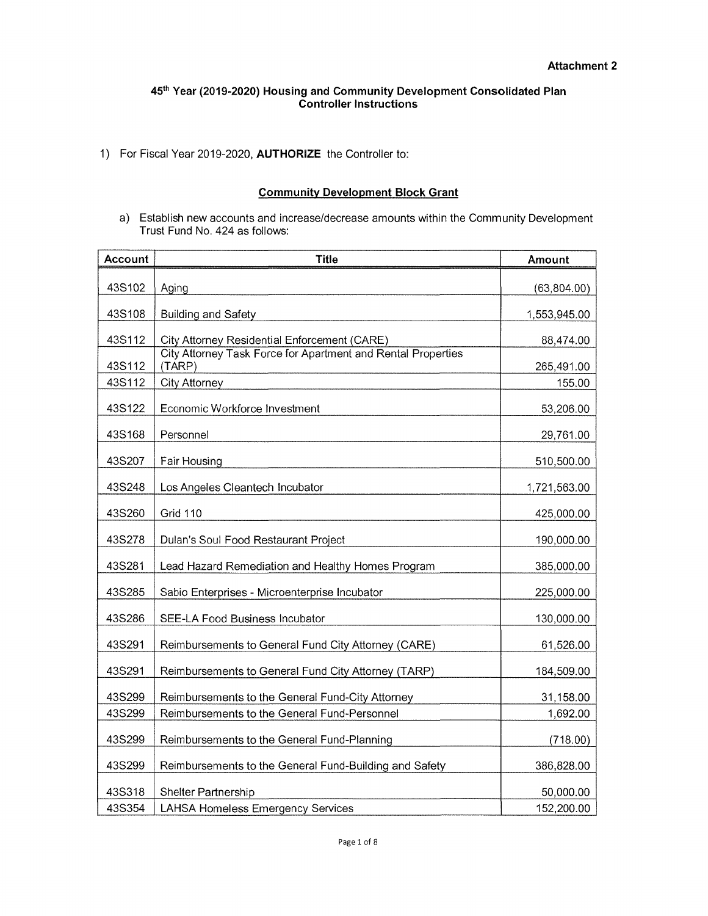1) For Fiscal Year 2019-2020, **AUTHORIZE** the Controller to:

## **Community Development Block Grant**

a) Establish new accounts and increase/decrease amounts within the Community Development Trust Fund No. 424 as follows:

| <b>Account</b> | <b>Title</b>                                                           | Amount       |
|----------------|------------------------------------------------------------------------|--------------|
| 43S102         | Aging                                                                  | (63, 804.00) |
| 43S108         | <b>Building and Safety</b>                                             | 1,553,945.00 |
| 43S112         | City Attorney Residential Enforcement (CARE)                           | 88,474.00    |
| 43S112         | City Attorney Task Force for Apartment and Rental Properties<br>(TARP) | 265,491.00   |
| 43S112         | <b>City Attorney</b>                                                   | 155.00       |
| 43S122         | Economic Workforce Investment                                          | 53,206.00    |
| 43S168         | Personnel                                                              | 29,761.00    |
| 43S207         | Fair Housing                                                           | 510,500.00   |
| 43S248         | Los Angeles Cleantech Incubator                                        | 1,721,563.00 |
| 43S260         | <b>Grid 110</b>                                                        | 425,000.00   |
| 43S278         | Dulan's Soul Food Restaurant Project                                   | 190,000.00   |
| 43S281         | Lead Hazard Remediation and Healthy Homes Program                      | 385,000.00   |
| 43S285         | Sabio Enterprises - Microenterprise Incubator                          | 225,000.00   |
| 43S286         | SEE-LA Food Business Incubator                                         | 130,000.00   |
| 43S291         | Reimbursements to General Fund City Attorney (CARE)                    | 61,526.00    |
| 43S291         | Reimbursements to General Fund City Attorney (TARP)                    | 184,509.00   |
| 43S299         | Reimbursements to the General Fund-City Attorney                       | 31,158.00    |
| 43S299         | Reimbursements to the General Fund-Personnel                           | 1,692.00     |
| 43S299         | Reimbursements to the General Fund-Planning                            | (718.00)     |
| 43S299         | Reimbursements to the General Fund-Building and Safety                 | 386,828.00   |
| 43S318         | Shelter Partnership                                                    | 50,000.00    |
| 43S354         | LAHSA Homeless Emergency Services                                      | 152,200.00   |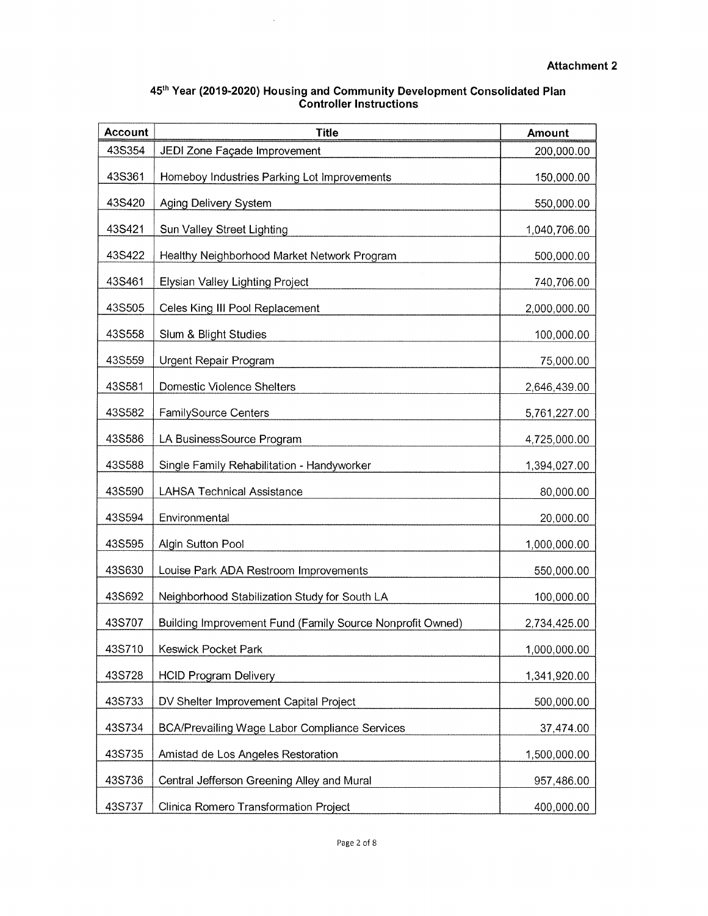| 45th Year (2019-2020) Housing and Community Development Consolidated Plan |
|---------------------------------------------------------------------------|
| <b>Controller Instructions</b>                                            |

 $\mathcal{L}^{\text{max}}_{\text{max}}$ 

| <b>Account</b> | <b>Title</b>                                              | <b>Amount</b> |
|----------------|-----------------------------------------------------------|---------------|
| 43S354         | JEDI Zone Façade Improvement                              | 200,000.00    |
| 43S361         | Homeboy Industries Parking Lot Improvements               | 150,000.00    |
| 43S420         | Aging Delivery System                                     | 550,000.00    |
| 43S421         | Sun Valley Street Lighting                                | 1,040,706.00  |
| 43S422         | Healthy Neighborhood Market Network Program               | 500,000.00    |
| 43S461         | Elysian Valley Lighting Project                           | 740,706.00    |
| 43S505         | Celes King III Pool Replacement                           | 2,000,000.00  |
| 43S558         | Slum & Blight Studies                                     | 100,000.00    |
| 43S559         | Urgent Repair Program                                     | 75,000.00     |
| 43S581         | <b>Domestic Violence Shelters</b>                         | 2,646,439.00  |
| 43S582         | FamilySource Centers                                      | 5,761,227.00  |
| 43S586         | LA BusinessSource Program                                 | 4,725,000.00  |
| 43S588         | Single Family Rehabilitation - Handyworker                | 1,394,027.00  |
| 43S590         | <b>LAHSA Technical Assistance</b>                         | 80,000.00     |
| 43S594         | Environmental                                             | 20,000.00     |
| 43S595         | Algin Sutton Pool                                         | 1,000,000.00  |
| 43S630         | Louise Park ADA Restroom Improvements                     | 550,000.00    |
| 43S692         | Neighborhood Stabilization Study for South LA             | 100,000.00    |
| 43S707         | Building Improvement Fund (Family Source Nonprofit Owned) | 2,734,425.00  |
| 43S710         | Keswick Pocket Park                                       | 1,000,000.00  |
| 43S728         | <b>HCID Program Delivery</b>                              | 1,341,920.00  |
| 43S733         | DV Shelter Improvement Capital Project                    | 500,000.00    |
| 43S734         | <b>BCA/Prevailing Wage Labor Compliance Services</b>      | 37,474.00     |
| 43S735         | Amistad de Los Angeles Restoration                        | 1,500,000.00  |
| 43S736         | Central Jefferson Greening Alley and Mural                | 957,486.00    |
| 43S737         | Clinica Romero Transformation Project                     | 400,000.00    |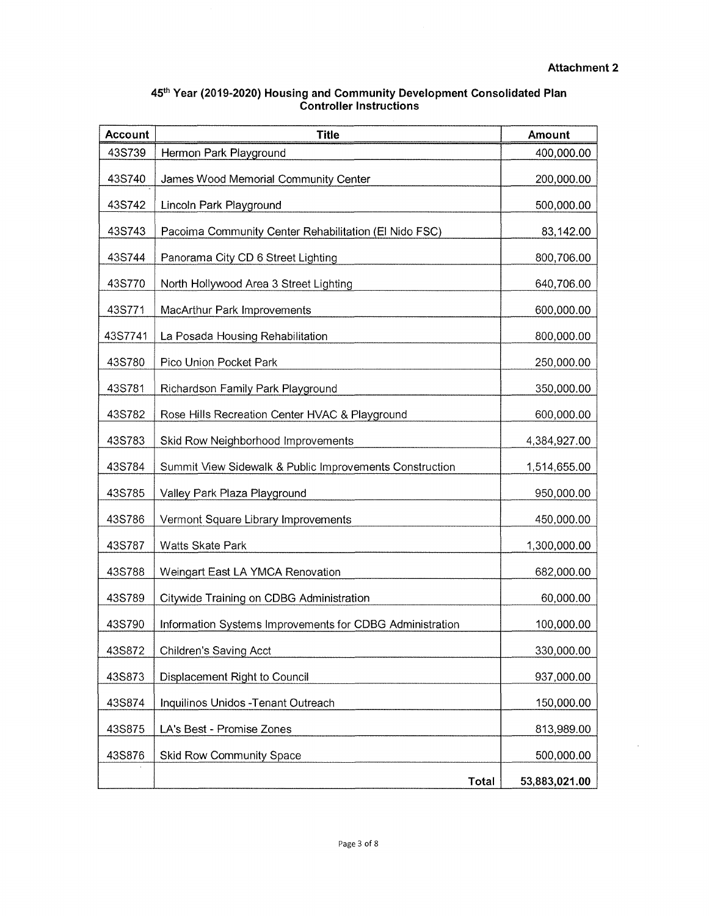$\sim$ 

| 45th Year (2019-2020) Housing and Community Development Consolidated Plan |
|---------------------------------------------------------------------------|
| <b>Controller Instructions</b>                                            |

| <b>Account</b> | <b>Title</b>                                             | Amount        |
|----------------|----------------------------------------------------------|---------------|
| 43S739         | Hermon Park Playground                                   | 400,000.00    |
| 43S740         | James Wood Memorial Community Center                     | 200,000.00    |
| 43S742         | Lincoln Park Playground                                  | 500,000.00    |
| 43S743         | Pacoima Community Center Rehabilitation (El Nido FSC)    | 83,142.00     |
| 43S744         | Panorama City CD 6 Street Lighting                       | 800,706.00    |
| 43S770         | North Hollywood Area 3 Street Lighting                   | 640,706.00    |
| 43S771         | MacArthur Park Improvements                              | 600,000.00    |
| 43S7741        | La Posada Housing Rehabilitation                         | 800,000.00    |
| 43S780         | Pico Union Pocket Park                                   | 250,000.00    |
| 43S781         | Richardson Family Park Playground                        | 350,000.00    |
| 43S782         | Rose Hills Recreation Center HVAC & Playground           | 600,000.00    |
| 43S783         | Skid Row Neighborhood Improvements                       | 4,384,927.00  |
| 43S784         | Summit View Sidewalk & Public Improvements Construction  | 1,514,655.00  |
| 43S785         | Valley Park Plaza Playground                             | 950,000.00    |
| 43S786         | Vermont Square Library Improvements                      | 450,000.00    |
| 43S787         | Watts Skate Park                                         | 1,300,000.00  |
| 43S788         | Weingart East LA YMCA Renovation                         | 682,000.00    |
| 43S789         | Citywide Training on CDBG Administration                 | 60,000.00     |
| 43S790         | Information Systems Improvements for CDBG Administration | 100,000.00    |
| 43S872         | <b>Children's Saving Acct</b>                            | 330,000.00    |
| 43S873         | Displacement Right to Council                            | 937,000.00    |
| 43S874         | Inquilinos Unidos - Tenant Outreach                      | 150,000.00    |
| 43S875         | LA's Best - Promise Zones                                | 813,989.00    |
| 43S876         | Skid Row Community Space                                 | 500,000.00    |
|                | <b>Total</b>                                             | 53,883,021.00 |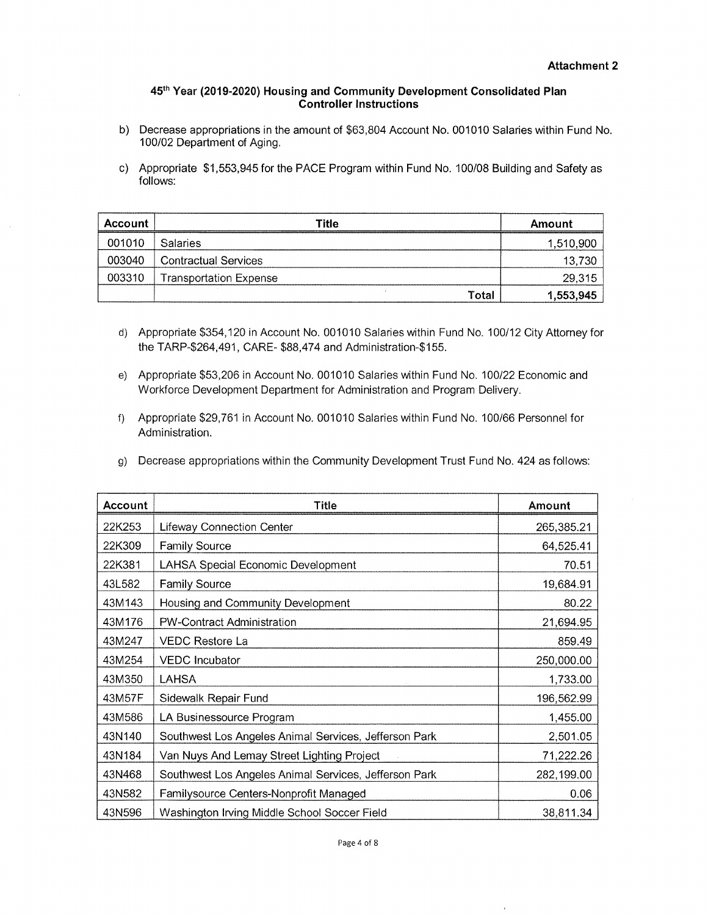- b) Decrease appropriations in the amount of \$63,804 Account No. 001010 Salaries within Fund No. 100/02 Department of Aging.
- c) Appropriate \$1,553,945 for the PACE Program within Fund No. 100/08 Building and Safety as follows:

| Account | Title                         | Amount    |
|---------|-------------------------------|-----------|
| 001010  | <b>Salaries</b>               | 1,510,900 |
| 003040  | <b>Contractual Services</b>   | 13,730    |
| 003310  | <b>Transportation Expense</b> | 29,315    |
|         | Total                         | 1,553,945 |

- d) Appropriate \$354,120 in Account No. 001010 Salaries within Fund No. 100/12 City Attorney for the TARP-\$264,491, CARE- \$88,474 and Administration-\$155.
- e) Appropriate \$53,206 in Account No. 001010 Salaries within Fund No. 100/22 Economic and Workforce Development Department for Administration and Program Delivery.
- Appropriate \$29,761 in Account No. 001010 Salaries within Fund No. 100/66 Personnel for f) Administration.
- 9) Decrease appropriations within the Community Development Trust Fund No. 424 as follows:

| Account | Title                                                 | Amount     |
|---------|-------------------------------------------------------|------------|
| 22K253  | <b>Lifeway Connection Center</b>                      | 265,385.21 |
| 22K309  | Family Source                                         | 64,525.41  |
| 22K381  | <b>LAHSA Special Economic Development</b>             | 70.51      |
| 43L582  | <b>Family Source</b>                                  | 19,684.91  |
| 43M143  | Housing and Community Development                     | 80.22      |
| 43M176  | PW-Contract Administration                            | 21,694.95  |
| 43M247  | <b>VEDC Restore La</b>                                | 859.49     |
| 43M254  | <b>VEDC</b> Incubator                                 | 250,000.00 |
| 43M350  | LAHSA                                                 | 1,733.00   |
| 43M57F  | Sidewalk Repair Fund                                  | 196,562.99 |
| 43M586  | LA Businessource Program                              | 1,455.00   |
| 43N140  | Southwest Los Angeles Animal Services, Jefferson Park | 2,501.05   |
| 43N184  | Van Nuys And Lemay Street Lighting Project            | 71,222.26  |
| 43N468  | Southwest Los Angeles Animal Services, Jefferson Park | 282,199.00 |
| 43N582  | Familysource Centers-Nonprofit Managed                | 0.06       |
| 43N596  | Washington Irving Middle School Soccer Field          | 38,811.34  |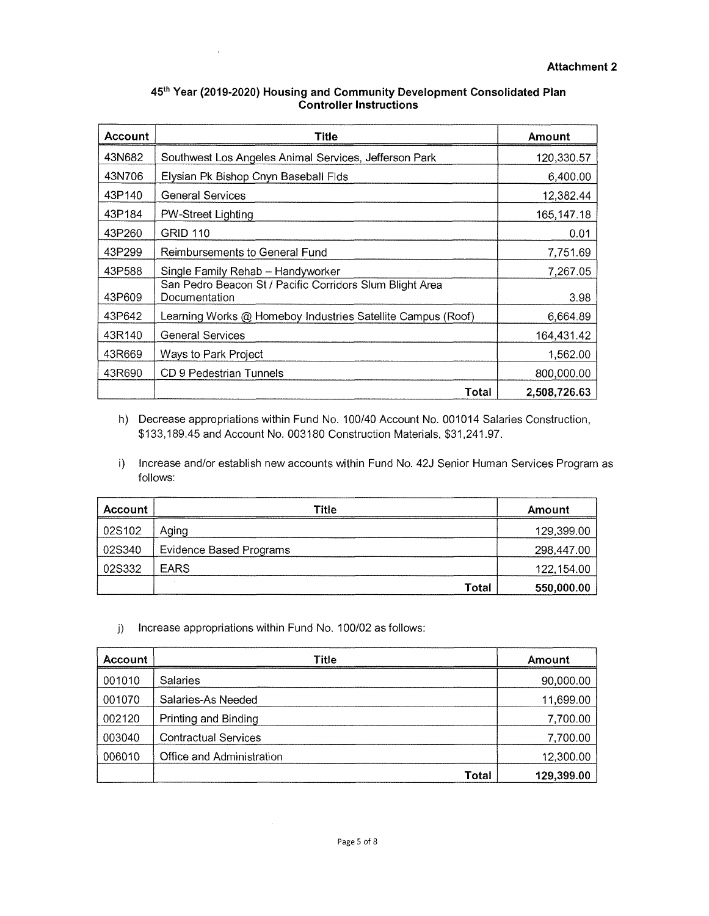| <b>Account</b> | Title                                                                     | Amount       |
|----------------|---------------------------------------------------------------------------|--------------|
| 43N682         | Southwest Los Angeles Animal Services, Jefferson Park                     | 120,330.57   |
| 43N706         | Elysian Pk Bishop Cnyn Baseball Flds                                      | 6,400.00     |
| 43P140         | <b>General Services</b>                                                   | 12,382.44    |
| 43P184         | PW-Street Lighting                                                        | 165, 147. 18 |
| 43P260         | <b>GRID 110</b>                                                           | 0.01         |
| 43P299         | Reimbursements to General Fund                                            | 7,751.69     |
| 43P588         | Single Family Rehab - Handyworker                                         | 7,267.05     |
| 43P609         | San Pedro Beacon St / Pacific Corridors Slum Blight Area<br>Documentation | 3.98         |
| 43P642         | Learning Works @ Homeboy Industries Satellite Campus (Roof)               | 6,664.89     |
| 43R140         | <b>General Services</b>                                                   | 164,431.42   |
| 43R669         | Ways to Park Project                                                      | 1,562.00     |
| 43R690         | CD 9 Pedestrian Tunnels                                                   | 800,000.00   |
|                | Total                                                                     | 2,508,726.63 |

 $\ddot{\phantom{a}}$ 

h) Decrease appropriations within Fund No. 100/40 Account No. 001014 Salaries Construction \$133,189.45 and Account No. 003180 Construction Materials, \$31,241.97.

i) Increase and/or establish new accounts within Fund No. 42J Senior Human Services Program as follows:

| Account | <b>Title</b>            | Amount     |
|---------|-------------------------|------------|
| 02S102  | Aging                   | 129,399.00 |
| 02S340  | Evidence Based Programs | 298,447.00 |
| 02S332  | <b>EARS</b>             | 122,154.00 |
|         | Total                   | 550,000.00 |

## j) Increase appropriations within Fund No. 100/02 as follows:

| <b>Account</b> | <b>Title</b>                | Amount     |
|----------------|-----------------------------|------------|
| 001010         | <b>Salaries</b>             | 90,000.00  |
| 001070         | Salaries-As Needed          | 11,699.00  |
| 002120         | Printing and Binding        | 7,700.00   |
| 003040         | <b>Contractual Services</b> | 7,700.00   |
| 006010         | Office and Administration   | 12,300.00  |
|                | Total                       | 129,399.00 |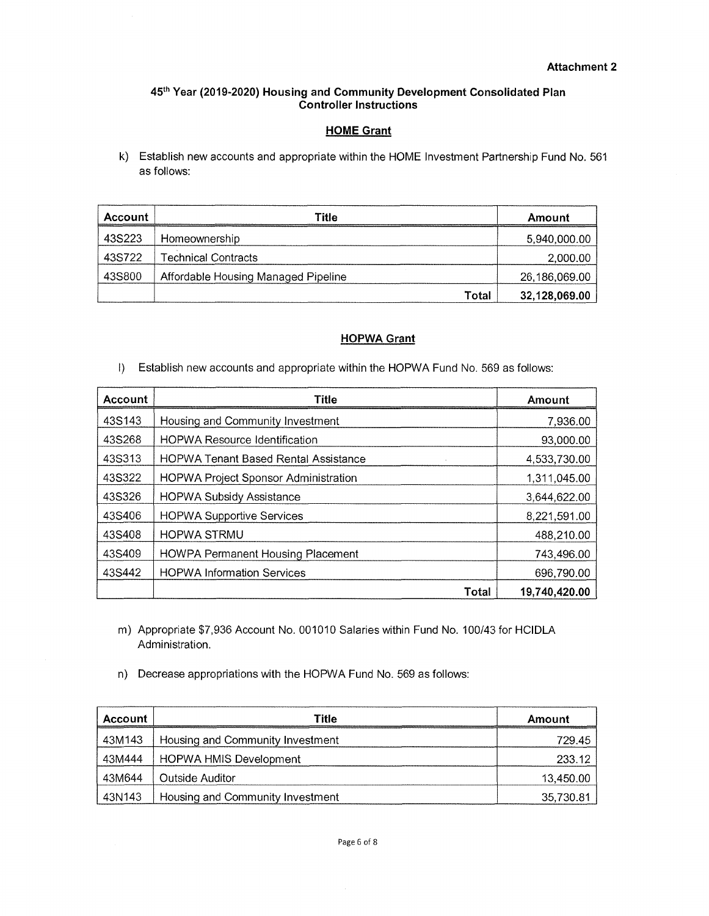## **HOME Grant**

k) Establish new accounts and appropriate within the HOME Investment Partnership Fund No. 561 as follows:

| Account | <b>Title</b>                        | Amount        |
|---------|-------------------------------------|---------------|
| 43S223  | Homeownership                       | 5,940,000.00  |
| 43S722  | <b>Technical Contracts</b>          | 2,000.00      |
| 43S800  | Affordable Housing Managed Pipeline | 26,186,069.00 |
|         | Total                               | 32,128,069.00 |

## **HOPWA Grant**

I) Establish new accounts and appropriate within the HOPWA Fund No. 569 as follows:

| Account | Title                                       | Amount        |
|---------|---------------------------------------------|---------------|
| 43S143  | Housing and Community Investment            | 7,936.00      |
| 43S268  | <b>HOPWA Resource Identification</b>        | 93,000.00     |
| 43S313  | <b>HOPWA Tenant Based Rental Assistance</b> | 4,533,730.00  |
| 43S322  | <b>HOPWA Project Sponsor Administration</b> | 1,311,045.00  |
| 43S326  | <b>HOPWA Subsidy Assistance</b>             | 3,644,622.00  |
| 43S406  | <b>HOPWA Supportive Services</b>            | 8,221,591.00  |
| 43S408  | <b>HOPWA STRMU</b>                          | 488,210.00    |
| 43S409  | <b>HOWPA Permanent Housing Placement</b>    | 743,496.00    |
| 43S442  | <b>HOPWA Information Services</b>           | 696,790.00    |
|         | Total                                       | 19,740,420.00 |

- m) Appropriate \$7,936 Account No. 001010 Salaries within Fund No. 100/43 for HCIDLA Administration.
- n) Decrease appropriations with the HOPWA Fund No. 569 as follows:

| <b>Account</b> | Title                            | Amount    |
|----------------|----------------------------------|-----------|
| 43M143         | Housing and Community Investment | 729.45    |
| 43M444         | <b>HOPWA HMIS Development</b>    | 233.12    |
| 43M644         | Outside Auditor                  | 13,450.00 |
| 43N143         | Housing and Community Investment | 35,730.81 |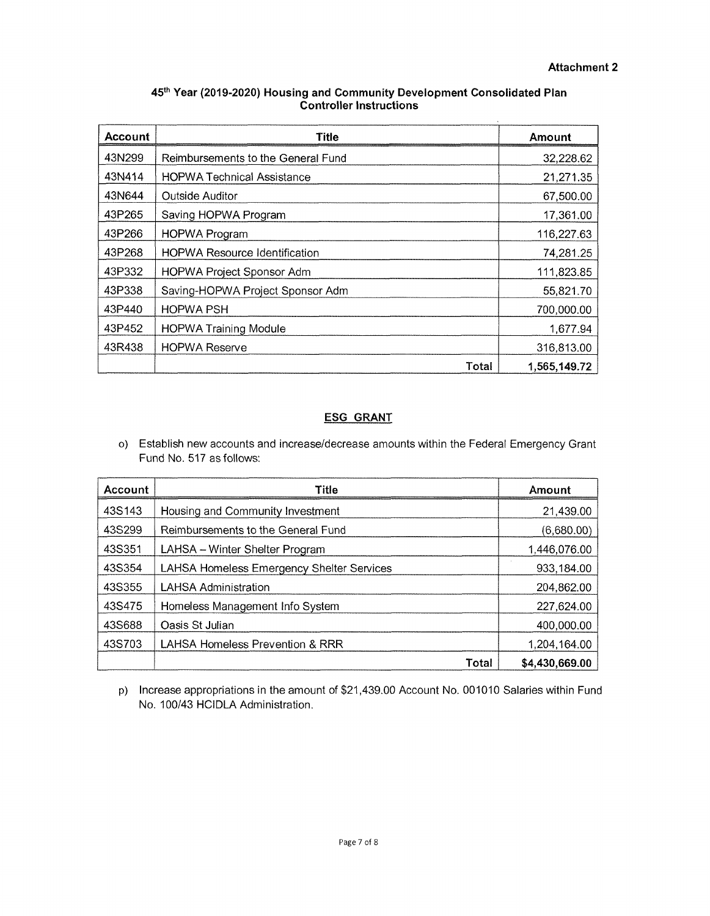ä,

| 45th Year (2019-2020) Housing and Community Development Consolidated Plan |
|---------------------------------------------------------------------------|
| <b>Controller Instructions</b>                                            |

| <b>Account</b> | Title                                | Amount       |
|----------------|--------------------------------------|--------------|
| 43N299         | Reimbursements to the General Fund   | 32,228.62    |
| 43N414         | <b>HOPWA Technical Assistance</b>    | 21,271.35    |
| 43N644         | Outside Auditor                      | 67,500.00    |
| 43P265         | Saving HOPWA Program                 | 17,361.00    |
| 43P266         | <b>HOPWA Program</b>                 | 116,227.63   |
| 43P268         | <b>HOPWA Resource Identification</b> | 74,281.25    |
| 43P332         | <b>HOPWA Project Sponsor Adm</b>     | 111,823.85   |
| 43P338         | Saving-HOPWA Project Sponsor Adm     | 55,821.70    |
| 43P440         | <b>HOPWA PSH</b>                     | 700,000.00   |
| 43P452         | <b>HOPWA Training Module</b>         | 1,677.94     |
| 43R438         | <b>HOPWA Reserve</b>                 | 316,813.00   |
|                | Total                                | 1,565,149.72 |

## **ESG** GRANT

o) Establish new accounts and increase/decrease amounts within the Federal Emergency Grant Fund No. 517 as follows:

| <b>Account</b> | Title                                      | Amount         |
|----------------|--------------------------------------------|----------------|
| 43S143         | Housing and Community Investment           | 21,439.00      |
| 43S299         | Reimbursements to the General Fund         | (6,680.00)     |
| 43S351         | LAHSA - Winter Shelter Program             | 1,446,076.00   |
| 43S354         | LAHSA Homeless Emergency Shelter Services  | 933,184.00     |
| 43S355         | <b>LAHSA Administration</b>                | 204,862.00     |
| 43S475         | Homeless Management Info System            | 227,624.00     |
| 43S688         | Oasis St Julian                            | 400,000.00     |
| 43S703         | <b>LAHSA Homeless Prevention &amp; RRR</b> | 1,204,164.00   |
|                | Total                                      | \$4,430,669.00 |

p) Increase appropriations in the amount of \$21,439.00 Account No. 001010 Salaries within Fund No. 100/43 HCIDLA Administration.